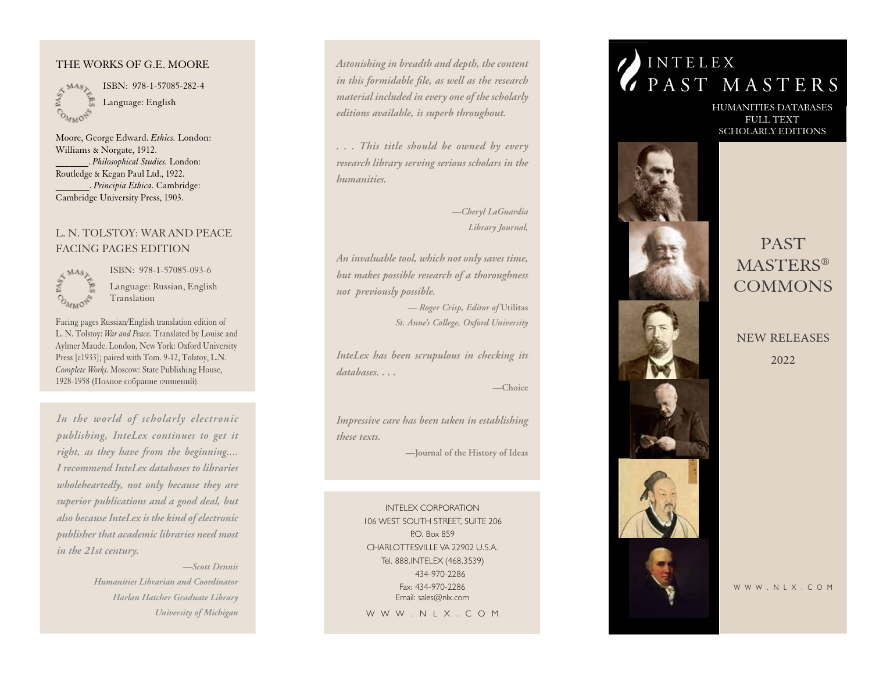#### THE WORKS OF G.E. MOORE

ANASTER **COMMON** 

I SBN: 978-1-57085-282-4 Language: English

Moore, George Edward. *Ethics.* London: Williams & Norgate, 1912. \_\_\_\_\_\_\_. *Philosophical Studies.* London: Routledge & Kegan Paul Ltd., 1922. \_\_\_\_\_\_\_. *Principia Ethica.* Cambridge: Cambridge University Press, 1903.

# L. N. TOLSTOY: WAR AND PEACE FACING PAGES EDITION



I SBN: 978-1-57085-093-6 Language: Russian, English Translation

Facing pages Russian/English translation edition of L. N. Tolstoy: *War and Peace.* Translated by Louise and Aylmer Maude. London, New York: Oxford University Press [c1933]; paired with Tom. 9-12, Tolstoy, L.N. *Complete Works.* Moscow: State Publishing House, 1928-1958 (Полное собрание очинений).

*In the world of scholarly electronic publishing, InteLex continues to get it right, as they have from the beginning.... I recommend InteLex databases to libraries wholeheartedly, not only because they are superior publications and a good deal, but also because InteLex is the kind of electronic publisher that academic libraries need most in the 21st century.*

> *—Scott Dennis Humanities Librarian and Coordinator Harlan Hatcher Graduate Library University of Michigan*

*Astonishing in breadth and depth, the content in this formidable file, as well as the research material included in every one of the scholarly editions available, is superb throughout.*

*. . . This title should be owned by every research library serving serious scholars in the humanities.*

> *—Cheryl LaGuardia Library Journal,*

*An invaluable tool, which not only saves time, but makes possible research of a thoroughness not previously possible.*

> *— Roger Crisp, Editor of* **Utilitas** *St. Anne's College, Oxford University*

*InteLex has been scrupulous in checking its databases. . . .*

*—***Choice**

*Impressive care has been taken in establishing these texts.*

*—***Journal of the History of Ideas**

INTELEX CORPORATION 106 WEST SOUTH STREET, SUITE 206 P.O. Box 859 CHARLOTTESVILLE VA 22902 U.S.A. Tel. 888.INTELEX (468.3539) 434-970-2286 Fax: 434-970-2286 Email: sales@nlx.com W W W . N L X . C O M

# I N T E L E X PAST MASTERS

HUMANITIE S DATABA S E S FULL TEXT SCHOLARLY EDITIONS



PAsT MASTERS<sup>®</sup> **COMMONS** 

NEW RELEASES 2022

W W W . N L X . C O M